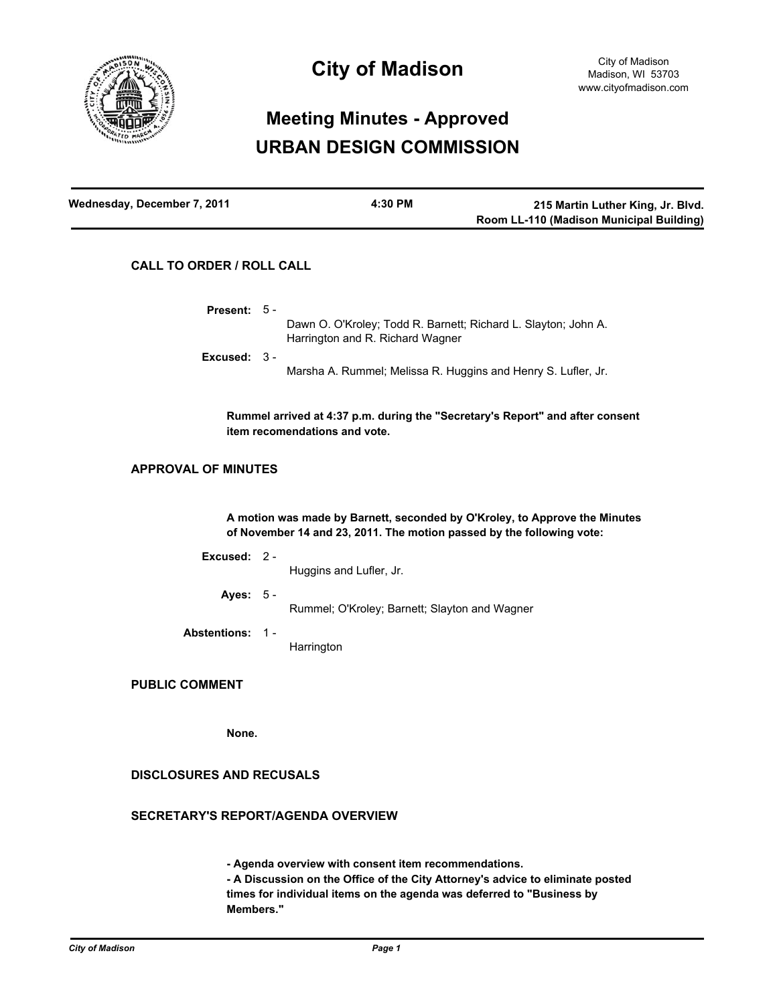

# **City of Madison**

# **Meeting Minutes - Approved URBAN DESIGN COMMISSION**

| Wednesday, December 7, 2011 | 4:30 PM | 215 Martin Luther King, Jr. Blvd.        |
|-----------------------------|---------|------------------------------------------|
|                             |         | Room LL-110 (Madison Municipal Building) |

# **CALL TO ORDER / ROLL CALL**

Dawn O. O'Kroley; Todd R. Barnett; Richard L. Slayton; John A. Harrington and R. Richard Wagner **Present:** 5 - Marsha A. Rummel; Melissa R. Huggins and Henry S. Lufler, Jr. **Excused:** 3 - **Rummel arrived at 4:37 p.m. during the "Secretary's Report" and after consent item recomendations and vote. APPROVAL OF MINUTES A motion was made by Barnett, seconded by O'Kroley, to Approve the Minutes of November 14 and 23, 2011. The motion passed by the following vote:**

| Excused: $2 -$  | Huggins and Lufler, Jr.                       |
|-----------------|-----------------------------------------------|
| Ayes: $5 -$     | Rummel; O'Kroley; Barnett; Slayton and Wagner |
| Abstentions: 1- | Harrington                                    |

# **PUBLIC COMMENT**

**None.**

# **DISCLOSURES AND RECUSALS**

# **SECRETARY'S REPORT/AGENDA OVERVIEW**

**- Agenda overview with consent item recommendations. - A Discussion on the Office of the City Attorney's advice to eliminate posted times for individual items on the agenda was deferred to "Business by Members."**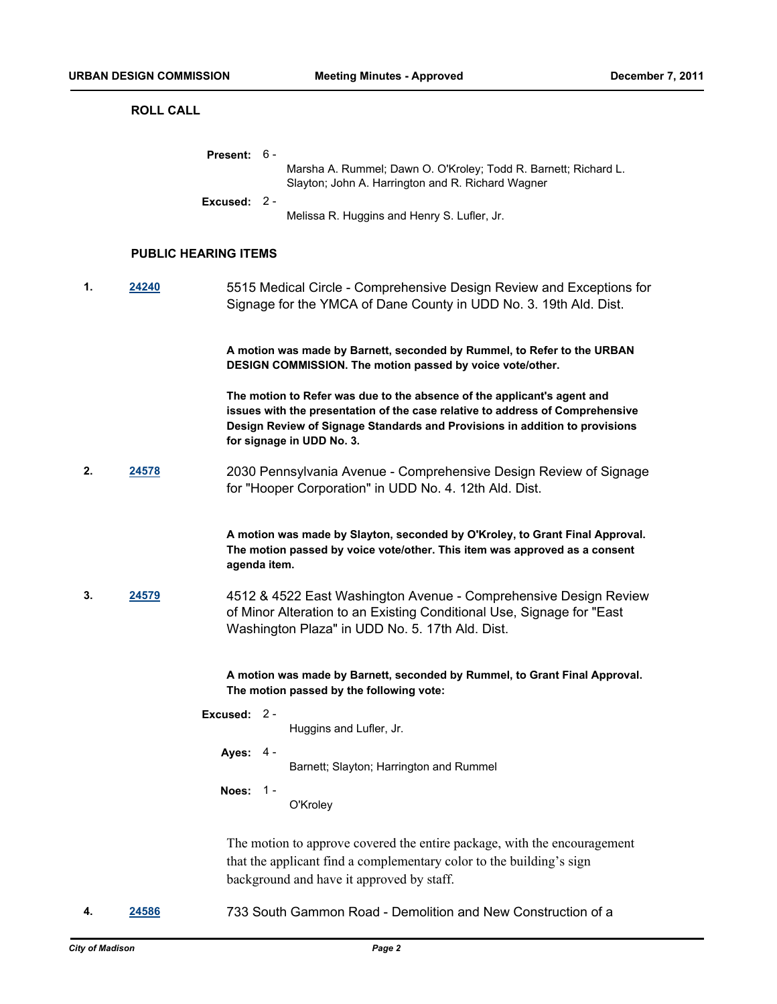#### **ROLL CALL**

| <b>Present:</b> $6 -$ |                                                                                                                      |
|-----------------------|----------------------------------------------------------------------------------------------------------------------|
|                       | Marsha A. Rummel; Dawn O. O'Kroley; Todd R. Barnett; Richard L.<br>Slayton; John A. Harrington and R. Richard Wagner |
| Excused: $2 -$        |                                                                                                                      |
|                       | Melissa R. Huggins and Henry S. Lufler, Jr.                                                                          |

#### **PUBLIC HEARING ITEMS**

**1. [24240](http://madison.legistar.com/gateway.aspx?M=L&ID=26734)** 5515 Medical Circle - Comprehensive Design Review and Exceptions for Signage for the YMCA of Dane County in UDD No. 3. 19th Ald. Dist.

> **A motion was made by Barnett, seconded by Rummel, to Refer to the URBAN DESIGN COMMISSION. The motion passed by voice vote/other.**

> **The motion to Refer was due to the absence of the applicant's agent and issues with the presentation of the case relative to address of Comprehensive Design Review of Signage Standards and Provisions in addition to provisions for signage in UDD No. 3.**

**2. [24578](http://madison.legistar.com/gateway.aspx?M=L&ID=27091)** 2030 Pennsylvania Avenue - Comprehensive Design Review of Signage for "Hooper Corporation" in UDD No. 4. 12th Ald. Dist.

> **A motion was made by Slayton, seconded by O'Kroley, to Grant Final Approval. The motion passed by voice vote/other. This item was approved as a consent agenda item.**

**3. [24579](http://madison.legistar.com/gateway.aspx?M=L&ID=27092)** 4512 & 4522 East Washington Avenue - Comprehensive Design Review of Minor Alteration to an Existing Conditional Use, Signage for "East Washington Plaza" in UDD No. 5. 17th Ald. Dist.

> **A motion was made by Barnett, seconded by Rummel, to Grant Final Approval. The motion passed by the following vote:**

**Excused:** 2 -

Huggins and Lufler, Jr.

**Ayes:** 4 -

Barnett; Slayton; Harrington and Rummel

**Noes:** 1 -

O'Kroley

The motion to approve covered the entire package, with the encouragement that the applicant find a complementary color to the building's sign background and have it approved by staff.

**4. [24586](http://madison.legistar.com/gateway.aspx?M=L&ID=27099)** 733 South Gammon Road - Demolition and New Construction of a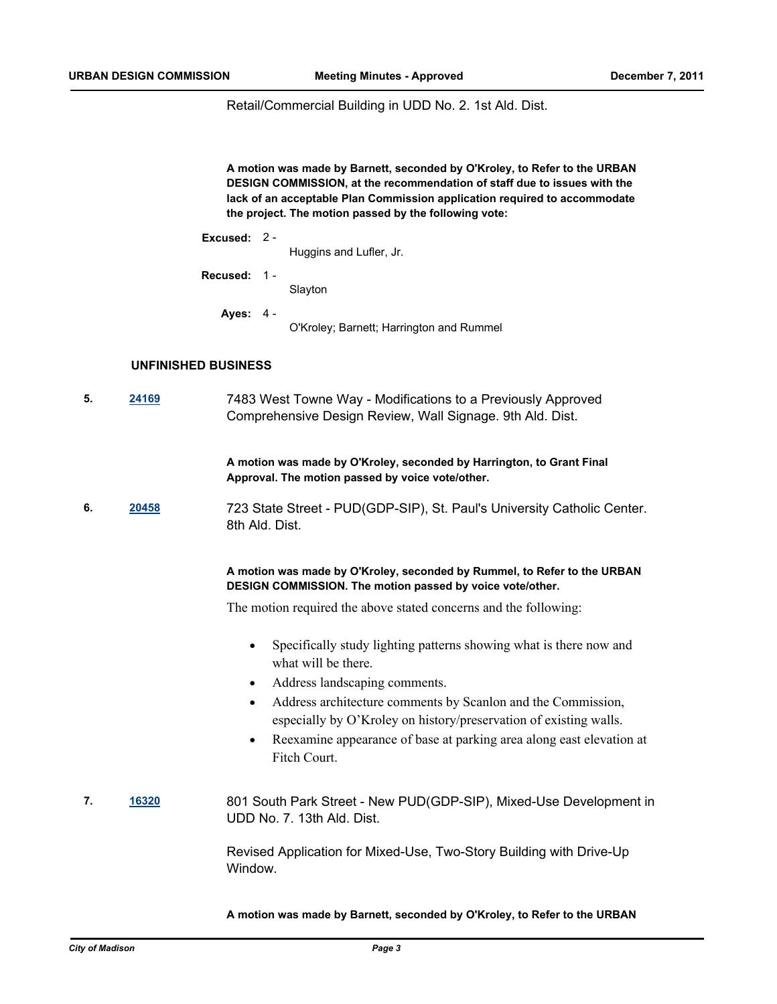Retail/Commercial Building in UDD No. 2. 1st Ald. Dist.

**A motion was made by Barnett, seconded by O'Kroley, to Refer to the URBAN DESIGN COMMISSION, at the recommendation of staff due to issues with the lack of an acceptable Plan Commission application required to accommodate the project. The motion passed by the following vote:**

| Excused: |  |
|----------|--|
|----------|--|

Huggins and Lufler, Jr.

**Recused:** 1 -

Slayton

**Ayes:** 4 -

O'Kroley; Barnett; Harrington and Rummel

### **UNFINISHED BUSINESS**

**5. [24169](http://madison.legistar.com/gateway.aspx?M=L&ID=26650)** 7483 West Towne Way - Modifications to a Previously Approved Comprehensive Design Review, Wall Signage. 9th Ald. Dist.

> **A motion was made by O'Kroley, seconded by Harrington, to Grant Final Approval. The motion passed by voice vote/other.**

**6. [20458](http://madison.legistar.com/gateway.aspx?M=L&ID=22664)** 723 State Street - PUD(GDP-SIP), St. Paul's University Catholic Center. 8th Ald. Dist.

## **A motion was made by O'Kroley, seconded by Rummel, to Refer to the URBAN DESIGN COMMISSION. The motion passed by voice vote/other.**

The motion required the above stated concerns and the following:

- Specifically study lighting patterns showing what is there now and what will be there.
- Address landscaping comments.
- Address architecture comments by Scanlon and the Commission, especially by O'Kroley on history/preservation of existing walls.
- Reexamine appearance of base at parking area along east elevation at Fitch Court.
- **7. [16320](http://madison.legistar.com/gateway.aspx?M=L&ID=18157)** 801 South Park Street New PUD(GDP-SIP), Mixed-Use Development in UDD No. 7. 13th Ald. Dist.

Revised Application for Mixed-Use, Two-Story Building with Drive-Up Window.

**A motion was made by Barnett, seconded by O'Kroley, to Refer to the URBAN**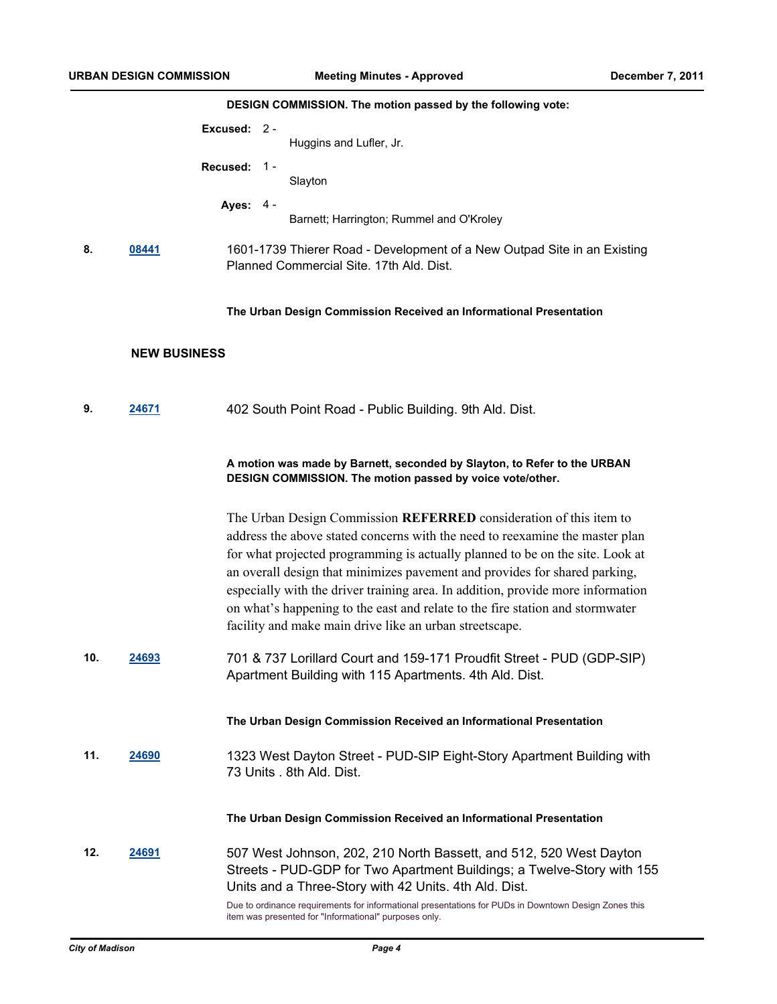# **DESIGN COMMISSION. The motion passed by the following vote:**

|     |                     | Excused: 2 - |       | Huggins and Lufler, Jr.                                                                                                                                                                                                                                                                                                                                                                                                                                                                                                                          |
|-----|---------------------|--------------|-------|--------------------------------------------------------------------------------------------------------------------------------------------------------------------------------------------------------------------------------------------------------------------------------------------------------------------------------------------------------------------------------------------------------------------------------------------------------------------------------------------------------------------------------------------------|
|     |                     | Recused:     | $1 -$ | Slayton                                                                                                                                                                                                                                                                                                                                                                                                                                                                                                                                          |
|     |                     | Ayes: 4 -    |       | Barnett; Harrington; Rummel and O'Kroley                                                                                                                                                                                                                                                                                                                                                                                                                                                                                                         |
| 8.  | 08441               |              |       | 1601-1739 Thierer Road - Development of a New Outpad Site in an Existing<br>Planned Commercial Site. 17th Ald. Dist.                                                                                                                                                                                                                                                                                                                                                                                                                             |
|     |                     |              |       | The Urban Design Commission Received an Informational Presentation                                                                                                                                                                                                                                                                                                                                                                                                                                                                               |
|     | <b>NEW BUSINESS</b> |              |       |                                                                                                                                                                                                                                                                                                                                                                                                                                                                                                                                                  |
| 9.  | 24671               |              |       | 402 South Point Road - Public Building. 9th Ald. Dist.                                                                                                                                                                                                                                                                                                                                                                                                                                                                                           |
|     |                     |              |       | A motion was made by Barnett, seconded by Slayton, to Refer to the URBAN<br>DESIGN COMMISSION. The motion passed by voice vote/other.                                                                                                                                                                                                                                                                                                                                                                                                            |
|     |                     |              |       | The Urban Design Commission REFERRED consideration of this item to<br>address the above stated concerns with the need to reexamine the master plan<br>for what projected programming is actually planned to be on the site. Look at<br>an overall design that minimizes pavement and provides for shared parking,<br>especially with the driver training area. In addition, provide more information<br>on what's happening to the east and relate to the fire station and stormwater<br>facility and make main drive like an urban streetscape. |
| 10. | 24693               |              |       | 701 & 737 Lorillard Court and 159-171 Proudfit Street - PUD (GDP-SIP)<br>Apartment Building with 115 Apartments. 4th Ald. Dist.                                                                                                                                                                                                                                                                                                                                                                                                                  |
|     |                     |              |       | The Urban Design Commission Received an Informational Presentation                                                                                                                                                                                                                                                                                                                                                                                                                                                                               |
| 11. | <b>24690</b>        |              |       | 1323 West Dayton Street - PUD-SIP Eight-Story Apartment Building with<br>73 Units . 8th Ald. Dist.                                                                                                                                                                                                                                                                                                                                                                                                                                               |
|     |                     |              |       | The Urban Design Commission Received an Informational Presentation                                                                                                                                                                                                                                                                                                                                                                                                                                                                               |
| 12. | 24691               |              |       | 507 West Johnson, 202, 210 North Bassett, and 512, 520 West Dayton<br>Streets - PUD-GDP for Two Apartment Buildings; a Twelve-Story with 155<br>Units and a Three-Story with 42 Units. 4th Ald. Dist.                                                                                                                                                                                                                                                                                                                                            |
|     |                     |              |       | Due to ordinance requirements for informational presentations for PUDs in Downtown Design Zones this<br>item was presented for "Informational" purposes only.                                                                                                                                                                                                                                                                                                                                                                                    |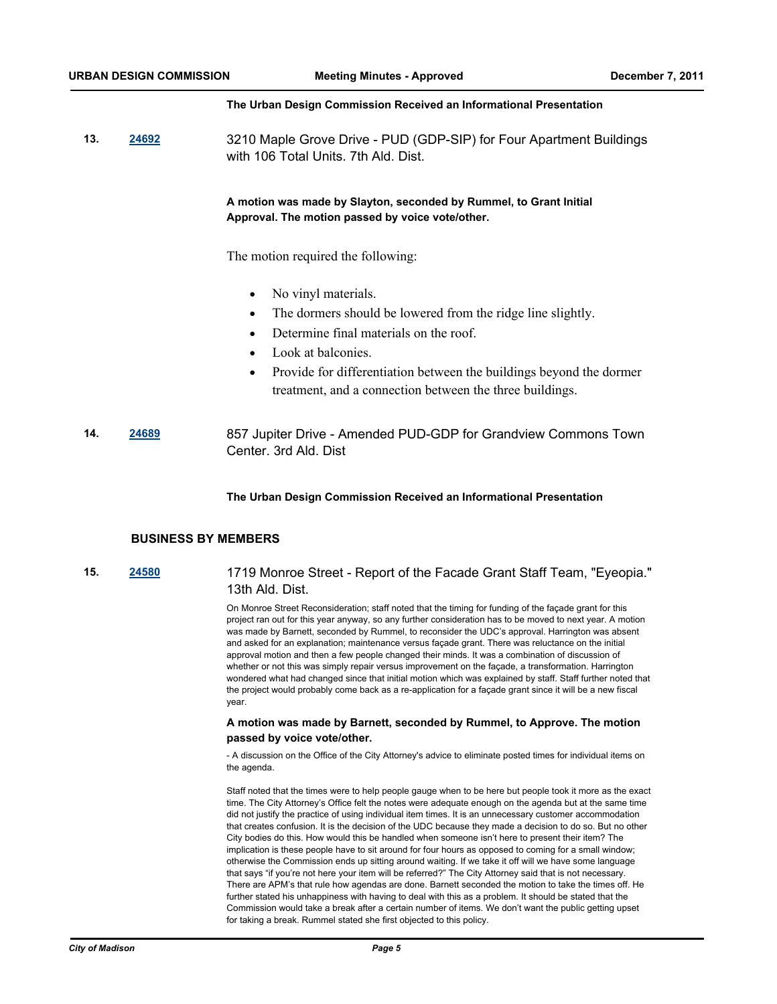#### **The Urban Design Commission Received an Informational Presentation**

**13. [24692](http://madison.legistar.com/gateway.aspx?M=L&ID=27217)** 3210 Maple Grove Drive - PUD (GDP-SIP) for Four Apartment Buildings with 106 Total Units. 7th Ald. Dist.

## **A motion was made by Slayton, seconded by Rummel, to Grant Initial Approval. The motion passed by voice vote/other.**

The motion required the following:

- No vinyl materials.
- The dormers should be lowered from the ridge line slightly.
- Determine final materials on the roof.
- Look at balconies.
- Provide for differentiation between the buildings beyond the dormer treatment, and a connection between the three buildings.
- **14. [24689](http://madison.legistar.com/gateway.aspx?M=L&ID=27214)** 857 Jupiter Drive Amended PUD-GDP for Grandview Commons Town Center. 3rd Ald. Dist

#### **The Urban Design Commission Received an Informational Presentation**

#### **BUSINESS BY MEMBERS**

# **15. [24580](http://madison.legistar.com/gateway.aspx?M=L&ID=27093)** 1719 Monroe Street - Report of the Facade Grant Staff Team, "Eyeopia." 13th Ald. Dist.

On Monroe Street Reconsideration; staff noted that the timing for funding of the façade grant for this project ran out for this year anyway, so any further consideration has to be moved to next year. A motion was made by Barnett, seconded by Rummel, to reconsider the UDC's approval. Harrington was absent and asked for an explanation; maintenance versus façade grant. There was reluctance on the initial approval motion and then a few people changed their minds. It was a combination of discussion of whether or not this was simply repair versus improvement on the façade, a transformation. Harrington wondered what had changed since that initial motion which was explained by staff. Staff further noted that the project would probably come back as a re-application for a façade grant since it will be a new fiscal year.

### **A motion was made by Barnett, seconded by Rummel, to Approve. The motion passed by voice vote/other.**

- A discussion on the Office of the City Attorney's advice to eliminate posted times for individual items on the agenda.

Staff noted that the times were to help people gauge when to be here but people took it more as the exact time. The City Attorney's Office felt the notes were adequate enough on the agenda but at the same time did not justify the practice of using individual item times. It is an unnecessary customer accommodation that creates confusion. It is the decision of the UDC because they made a decision to do so. But no other City bodies do this. How would this be handled when someone isn't here to present their item? The implication is these people have to sit around for four hours as opposed to coming for a small window; otherwise the Commission ends up sitting around waiting. If we take it off will we have some language that says "if you're not here your item will be referred?" The City Attorney said that is not necessary. There are APM's that rule how agendas are done. Barnett seconded the motion to take the times off. He further stated his unhappiness with having to deal with this as a problem. It should be stated that the Commission would take a break after a certain number of items. We don't want the public getting upset for taking a break. Rummel stated she first objected to this policy.